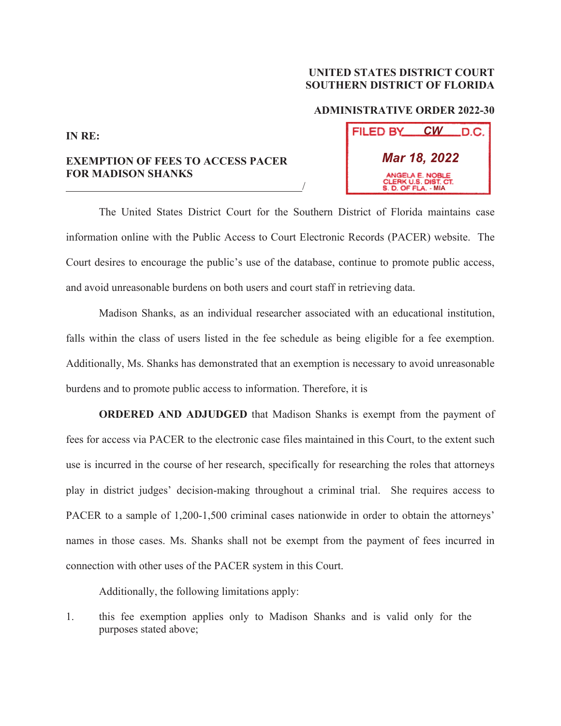## **UNITED STATES DISTRICT COURT SOUTHERN DISTRICT OF FLORIDA**

## **ADMINISTRATIVE ORDER 2022-30**

**FILED BY** 

*CW*

D.C.

**MIA**

*Mar 18, 2022*

WGELA E NOBLE CLERK U.S. DIST. CT.

**IN RE:**

## **EXEMPTION OF FEES TO ACCESS PACER FOR MADISON SHANKS**  <u>/</u>

 The United States District Court for the Southern District of Florida maintains case information online with the Public Access to Court Electronic Records (PACER) website. The Court desires to encourage the public's use of the database, continue to promote public access, and avoid unreasonable burdens on both users and court staff in retrieving data.

 Madison Shanks, as an individual researcher associated with an educational institution, falls within the class of users listed in the fee schedule as being eligible for a fee exemption. Additionally, Ms. Shanks has demonstrated that an exemption is necessary to avoid unreasonable burdens and to promote public access to information. Therefore, it is

**ORDERED AND ADJUDGED** that Madison Shanks is exempt from the payment of fees for access via PACER to the electronic case files maintained in this Court, to the extent such use is incurred in the course of her research, specifically for researching the roles that attorneys play in district judges' decision-making throughout a criminal trial. She requires access to PACER to a sample of 1,200-1,500 criminal cases nationwide in order to obtain the attorneys' names in those cases. Ms. Shanks shall not be exempt from the payment of fees incurred in connection with other uses of the PACER system in this Court.

Additionally, the following limitations apply:

1. this fee exemption applies only to Madison Shanks and is valid only for the purposes stated above;